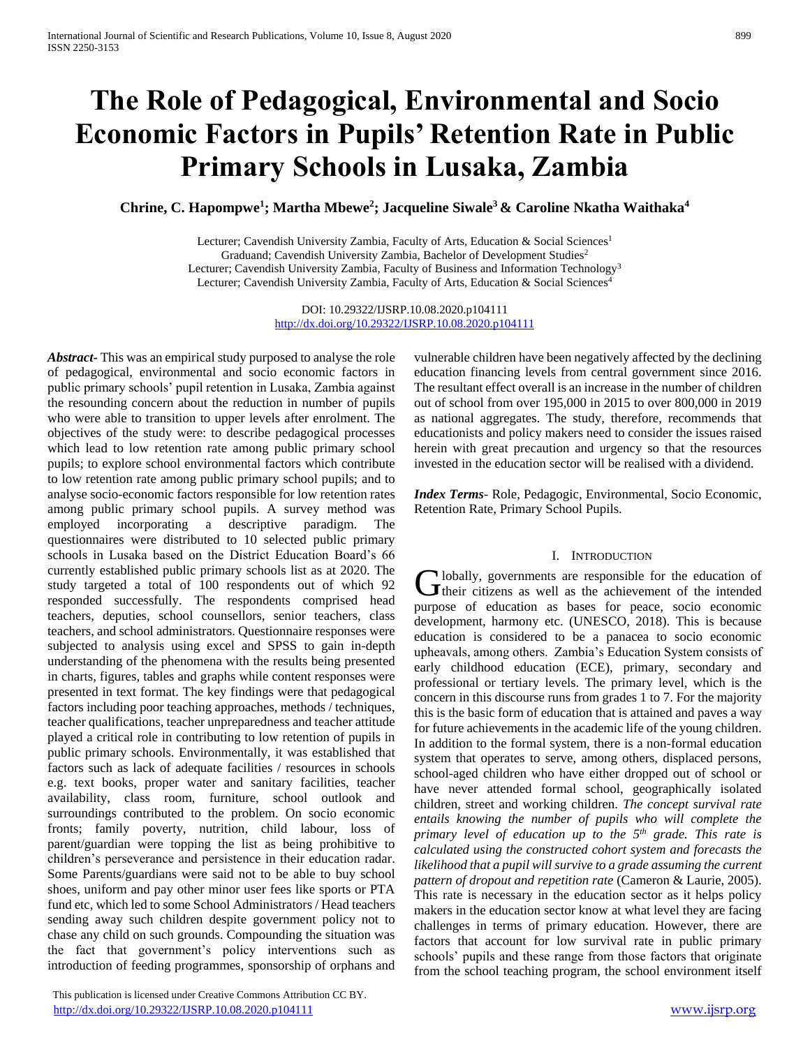# **The Role of Pedagogical, Environmental and Socio Economic Factors in Pupils' Retention Rate in Public Primary Schools in Lusaka, Zambia**

**Chrine, C. Hapompwe<sup>1</sup> ; Martha Mbewe<sup>2</sup> ; Jacqueline Siwale<sup>3</sup>& Caroline Nkatha Waithaka<sup>4</sup>**

Lecturer; Cavendish University Zambia, Faculty of Arts, Education & Social Sciences<sup>1</sup> Graduand; Cavendish University Zambia, Bachelor of Development Studies<sup>2</sup> Lecturer; Cavendish University Zambia, Faculty of Business and Information Technology<sup>3</sup> Lecturer; Cavendish University Zambia, Faculty of Arts, Education & Social Sciences<sup>4</sup>

> DOI: 10.29322/IJSRP.10.08.2020.p104111 <http://dx.doi.org/10.29322/IJSRP.10.08.2020.p104111>

*Abstract***-** This was an empirical study purposed to analyse the role of pedagogical, environmental and socio economic factors in public primary schools' pupil retention in Lusaka, Zambia against the resounding concern about the reduction in number of pupils who were able to transition to upper levels after enrolment. The objectives of the study were: to describe pedagogical processes which lead to low retention rate among public primary school pupils; to explore school environmental factors which contribute to low retention rate among public primary school pupils; and to analyse socio-economic factors responsible for low retention rates among public primary school pupils. A survey method was employed incorporating a descriptive paradigm. The questionnaires were distributed to 10 selected public primary schools in Lusaka based on the District Education Board's 66 currently established public primary schools list as at 2020. The study targeted a total of 100 respondents out of which 92 responded successfully. The respondents comprised head teachers, deputies, school counsellors, senior teachers, class teachers, and school administrators. Questionnaire responses were subjected to analysis using excel and SPSS to gain in-depth understanding of the phenomena with the results being presented in charts, figures, tables and graphs while content responses were presented in text format. The key findings were that pedagogical factors including poor teaching approaches, methods / techniques, teacher qualifications, teacher unpreparedness and teacher attitude played a critical role in contributing to low retention of pupils in public primary schools. Environmentally, it was established that factors such as lack of adequate facilities / resources in schools e.g. text books, proper water and sanitary facilities, teacher availability, class room, furniture, school outlook and surroundings contributed to the problem. On socio economic fronts; family poverty, nutrition, child labour, loss of parent/guardian were topping the list as being prohibitive to children's perseverance and persistence in their education radar. Some Parents/guardians were said not to be able to buy school shoes, uniform and pay other minor user fees like sports or PTA fund etc, which led to some School Administrators / Head teachers sending away such children despite government policy not to chase any child on such grounds. Compounding the situation was the fact that government's policy interventions such as introduction of feeding programmes, sponsorship of orphans and

 This publication is licensed under Creative Commons Attribution CC BY. <http://dx.doi.org/10.29322/IJSRP.10.08.2020.p104111> [www.ijsrp.org](http://ijsrp.org/)

vulnerable children have been negatively affected by the declining education financing levels from central government since 2016. The resultant effect overall is an increase in the number of children out of school from over 195,000 in 2015 to over 800,000 in 2019 as national aggregates. The study, therefore, recommends that educationists and policy makers need to consider the issues raised herein with great precaution and urgency so that the resources invested in the education sector will be realised with a dividend.

*Index Terms*- Role, Pedagogic, Environmental, Socio Economic, Retention Rate, Primary School Pupils.

#### I. INTRODUCTION

lobally, governments are responsible for the education of Globally, governments are responsible for the education of their citizens as well as the achievement of the intended purpose of education as bases for peace, socio economic development, harmony etc. (UNESCO, 2018). This is because education is considered to be a panacea to socio economic upheavals, among others. Zambia's Education System consists of early childhood education (ECE), primary, secondary and professional or tertiary levels. The primary level, which is the concern in this discourse runs from grades 1 to 7. For the majority this is the basic form of education that is attained and paves a way for future achievements in the academic life of the young children. In addition to the formal system, there is a non-formal education system that operates to serve, among others, displaced persons, school-aged children who have either dropped out of school or have never attended formal school, geographically isolated children, street and working children. *The concept survival rate entails knowing the number of pupils who will complete the primary level of education up to the 5th grade. This rate is calculated using the constructed cohort system and forecasts the likelihood that a pupil will survive to a grade assuming the current pattern of dropout and repetition rate* (Cameron & Laurie, 2005). This rate is necessary in the education sector as it helps policy makers in the education sector know at what level they are facing challenges in terms of primary education. However, there are factors that account for low survival rate in public primary schools' pupils and these range from those factors that originate from the school teaching program, the school environment itself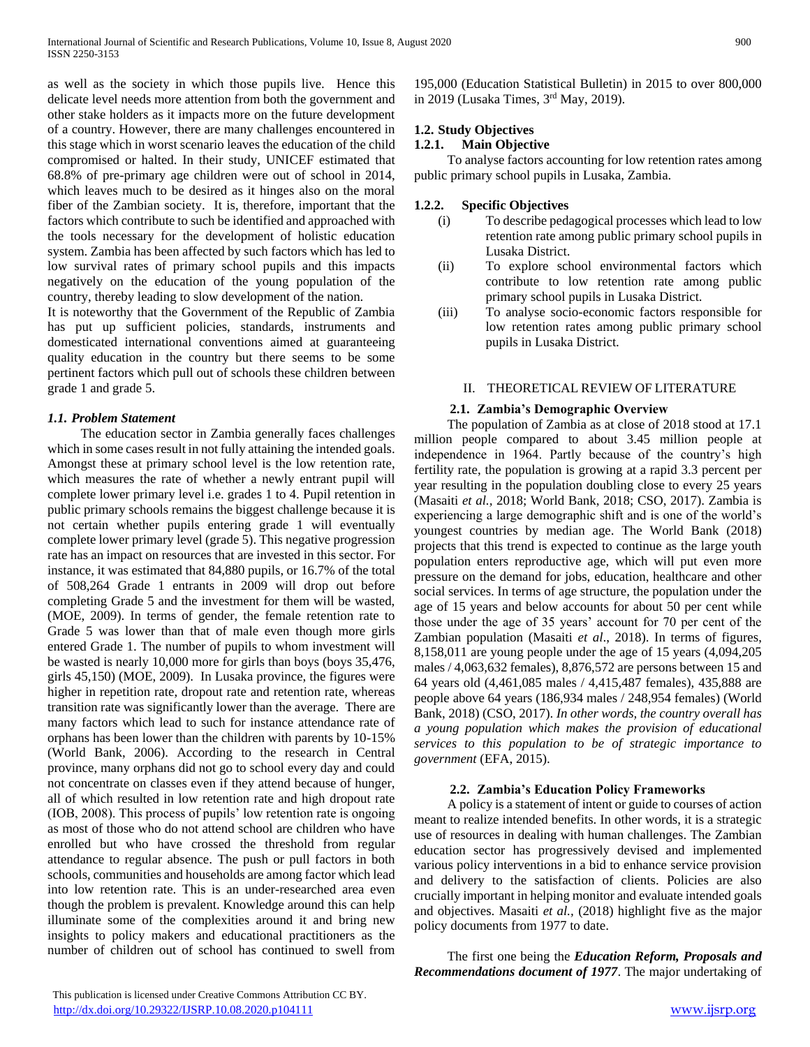as well as the society in which those pupils live. Hence this delicate level needs more attention from both the government and other stake holders as it impacts more on the future development of a country. However, there are many challenges encountered in this stage which in worst scenario leaves the education of the child compromised or halted. In their study, UNICEF estimated that 68.8% of pre-primary age children were out of school in 2014, which leaves much to be desired as it hinges also on the moral fiber of the Zambian society. It is, therefore, important that the factors which contribute to such be identified and approached with the tools necessary for the development of holistic education system. Zambia has been affected by such factors which has led to low survival rates of primary school pupils and this impacts negatively on the education of the young population of the country, thereby leading to slow development of the nation.

It is noteworthy that the Government of the Republic of Zambia has put up sufficient policies, standards, instruments and domesticated international conventions aimed at guaranteeing quality education in the country but there seems to be some pertinent factors which pull out of schools these children between grade 1 and grade 5.

#### *1.1. Problem Statement*

 The education sector in Zambia generally faces challenges which in some cases result in not fully attaining the intended goals. Amongst these at primary school level is the low retention rate, which measures the rate of whether a newly entrant pupil will complete lower primary level i.e. grades 1 to 4. Pupil retention in public primary schools remains the biggest challenge because it is not certain whether pupils entering grade 1 will eventually complete lower primary level (grade 5). This negative progression rate has an impact on resources that are invested in this sector. For instance, it was estimated that 84,880 pupils, or 16.7% of the total of 508,264 Grade 1 entrants in 2009 will drop out before completing Grade 5 and the investment for them will be wasted, (MOE, 2009). In terms of gender, the female retention rate to Grade 5 was lower than that of male even though more girls entered Grade 1. The number of pupils to whom investment will be wasted is nearly 10,000 more for girls than boys (boys 35,476, girls 45,150) (MOE, 2009). In Lusaka province, the figures were higher in repetition rate, dropout rate and retention rate, whereas transition rate was significantly lower than the average. There are many factors which lead to such for instance attendance rate of orphans has been lower than the children with parents by 10-15% (World Bank, 2006). According to the research in Central province, many orphans did not go to school every day and could not concentrate on classes even if they attend because of hunger, all of which resulted in low retention rate and high dropout rate (IOB, 2008). This process of pupils' low retention rate is ongoing as most of those who do not attend school are children who have enrolled but who have crossed the threshold from regular attendance to regular absence. The push or pull factors in both schools, communities and households are among factor which lead into low retention rate. This is an under-researched area even though the problem is prevalent. Knowledge around this can help illuminate some of the complexities around it and bring new insights to policy makers and educational practitioners as the number of children out of school has continued to swell from

195,000 (Education Statistical Bulletin) in 2015 to over 800,000 in 2019 (Lusaka Times, 3rd May, 2019).

## **1.2. Study Objectives**

## **1.2.1. Main Objective**

 To analyse factors accounting for low retention rates among public primary school pupils in Lusaka, Zambia.

#### **1.2.2. Specific Objectives**

- (i) To describe pedagogical processes which lead to low retention rate among public primary school pupils in Lusaka District.
- (ii) To explore school environmental factors which contribute to low retention rate among public primary school pupils in Lusaka District.
- (iii) To analyse socio-economic factors responsible for low retention rates among public primary school pupils in Lusaka District.

#### II. THEORETICAL REVIEW OF LITERATURE

#### **2.1. Zambia's Demographic Overview**

 The population of Zambia as at close of 2018 stood at 17.1 million people compared to about 3.45 million people at independence in 1964. Partly because of the country's high fertility rate, the population is growing at a rapid 3.3 percent per year resulting in the population doubling close to every 25 years (Masaiti *et al.,* 2018; World Bank, 2018; CSO, 2017). Zambia is experiencing a large demographic shift and is one of the world's youngest countries by median age. The World Bank (2018) projects that this trend is expected to continue as the large youth population enters reproductive age, which will put even more pressure on the demand for jobs, education, healthcare and other social services. In terms of age structure, the population under the age of 15 years and below accounts for about 50 per cent while those under the age of 35 years' account for 70 per cent of the Zambian population (Masaiti *et al*., 2018). In terms of figures, 8,158,011 are young people under the age of 15 years (4,094,205 males / 4,063,632 females), 8,876,572 are persons between 15 and 64 years old (4,461,085 males / 4,415,487 females), 435,888 are people above 64 years (186,934 males / 248,954 females) (World Bank, 2018) (CSO, 2017). *In other words, the country overall has a young population which makes the provision of educational services to this population to be of strategic importance to government* (EFA, 2015).

#### **2.2. Zambia's Education Policy Frameworks**

 A policy is a statement of intent or guide to courses of action meant to realize intended benefits. In other words, it is a strategic use of resources in dealing with human challenges. The Zambian education sector has progressively devised and implemented various policy interventions in a bid to enhance service provision and delivery to the satisfaction of clients. Policies are also crucially important in helping monitor and evaluate intended goals and objectives. Masaiti *et al.,* (2018) highlight five as the major policy documents from 1977 to date.

 The first one being the *Education Reform, Proposals and Recommendations document of 1977*. The major undertaking of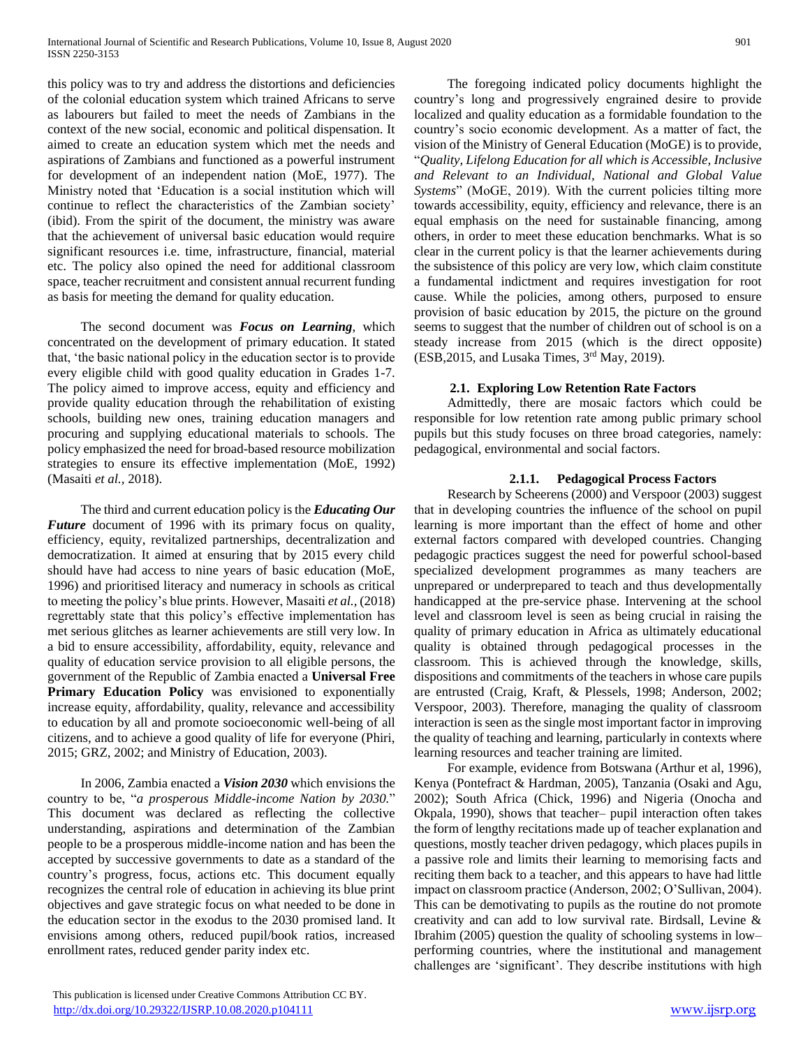this policy was to try and address the distortions and deficiencies of the colonial education system which trained Africans to serve as labourers but failed to meet the needs of Zambians in the context of the new social, economic and political dispensation. It aimed to create an education system which met the needs and aspirations of Zambians and functioned as a powerful instrument for development of an independent nation (MoE, 1977). The Ministry noted that 'Education is a social institution which will continue to reflect the characteristics of the Zambian society' (ibid). From the spirit of the document, the ministry was aware that the achievement of universal basic education would require significant resources i.e. time, infrastructure, financial, material etc. The policy also opined the need for additional classroom space, teacher recruitment and consistent annual recurrent funding as basis for meeting the demand for quality education.

 The second document was *Focus on Learning*, which concentrated on the development of primary education. It stated that, 'the basic national policy in the education sector is to provide every eligible child with good quality education in Grades 1-7. The policy aimed to improve access, equity and efficiency and provide quality education through the rehabilitation of existing schools, building new ones, training education managers and procuring and supplying educational materials to schools. The policy emphasized the need for broad-based resource mobilization strategies to ensure its effective implementation (MoE, 1992) (Masaiti *et al.,* 2018).

 The third and current education policy is the *Educating Our Future* document of 1996 with its primary focus on quality, efficiency, equity, revitalized partnerships, decentralization and democratization. It aimed at ensuring that by 2015 every child should have had access to nine years of basic education (MoE, 1996) and prioritised literacy and numeracy in schools as critical to meeting the policy's blue prints. However, Masaiti *et al.,* (2018) regrettably state that this policy's effective implementation has met serious glitches as learner achievements are still very low. In a bid to ensure accessibility, affordability, equity, relevance and quality of education service provision to all eligible persons, the government of the Republic of Zambia enacted a **Universal Free Primary Education Policy** was envisioned to exponentially increase equity, affordability, quality, relevance and accessibility to education by all and promote socioeconomic well-being of all citizens, and to achieve a good quality of life for everyone (Phiri, 2015; GRZ, 2002; and Ministry of Education, 2003).

 In 2006, Zambia enacted a *Vision 2030* which envisions the country to be, "*a prosperous Middle-income Nation by 2030.*" This document was declared as reflecting the collective understanding, aspirations and determination of the Zambian people to be a prosperous middle-income nation and has been the accepted by successive governments to date as a standard of the country's progress, focus, actions etc. This document equally recognizes the central role of education in achieving its blue print objectives and gave strategic focus on what needed to be done in the education sector in the exodus to the 2030 promised land. It envisions among others, reduced pupil/book ratios, increased enrollment rates, reduced gender parity index etc.

 The foregoing indicated policy documents highlight the country's long and progressively engrained desire to provide localized and quality education as a formidable foundation to the country's socio economic development. As a matter of fact, the vision of the Ministry of General Education (MoGE) is to provide, "*Quality, Lifelong Education for all which is Accessible, Inclusive and Relevant to an Individual, National and Global Value Systems*" (MoGE, 2019). With the current policies tilting more towards accessibility, equity, efficiency and relevance, there is an equal emphasis on the need for sustainable financing, among others, in order to meet these education benchmarks. What is so clear in the current policy is that the learner achievements during the subsistence of this policy are very low, which claim constitute a fundamental indictment and requires investigation for root cause. While the policies, among others, purposed to ensure provision of basic education by 2015, the picture on the ground seems to suggest that the number of children out of school is on a steady increase from 2015 (which is the direct opposite) (ESB,2015, and Lusaka Times, 3rd May, 2019).

## **2.1. Exploring Low Retention Rate Factors**

 Admittedly, there are mosaic factors which could be responsible for low retention rate among public primary school pupils but this study focuses on three broad categories, namely: pedagogical, environmental and social factors.

### **2.1.1. Pedagogical Process Factors**

 Research by Scheerens (2000) and Verspoor (2003) suggest that in developing countries the influence of the school on pupil learning is more important than the effect of home and other external factors compared with developed countries. Changing pedagogic practices suggest the need for powerful school-based specialized development programmes as many teachers are unprepared or underprepared to teach and thus developmentally handicapped at the pre-service phase. Intervening at the school level and classroom level is seen as being crucial in raising the quality of primary education in Africa as ultimately educational quality is obtained through pedagogical processes in the classroom. This is achieved through the knowledge, skills, dispositions and commitments of the teachers in whose care pupils are entrusted (Craig, Kraft, & Plessels, 1998; Anderson, 2002; Verspoor, 2003). Therefore, managing the quality of classroom interaction is seen as the single most important factor in improving the quality of teaching and learning, particularly in contexts where learning resources and teacher training are limited.

 For example, evidence from Botswana (Arthur et al, 1996), Kenya (Pontefract & Hardman, 2005), Tanzania (Osaki and Agu, 2002); South Africa (Chick, 1996) and Nigeria (Onocha and Okpala, 1990), shows that teacher– pupil interaction often takes the form of lengthy recitations made up of teacher explanation and questions, mostly teacher driven pedagogy, which places pupils in a passive role and limits their learning to memorising facts and reciting them back to a teacher, and this appears to have had little impact on classroom practice (Anderson, 2002; O'Sullivan, 2004). This can be demotivating to pupils as the routine do not promote creativity and can add to low survival rate. Birdsall, Levine & Ibrahim (2005) question the quality of schooling systems in low– performing countries, where the institutional and management challenges are 'significant'. They describe institutions with high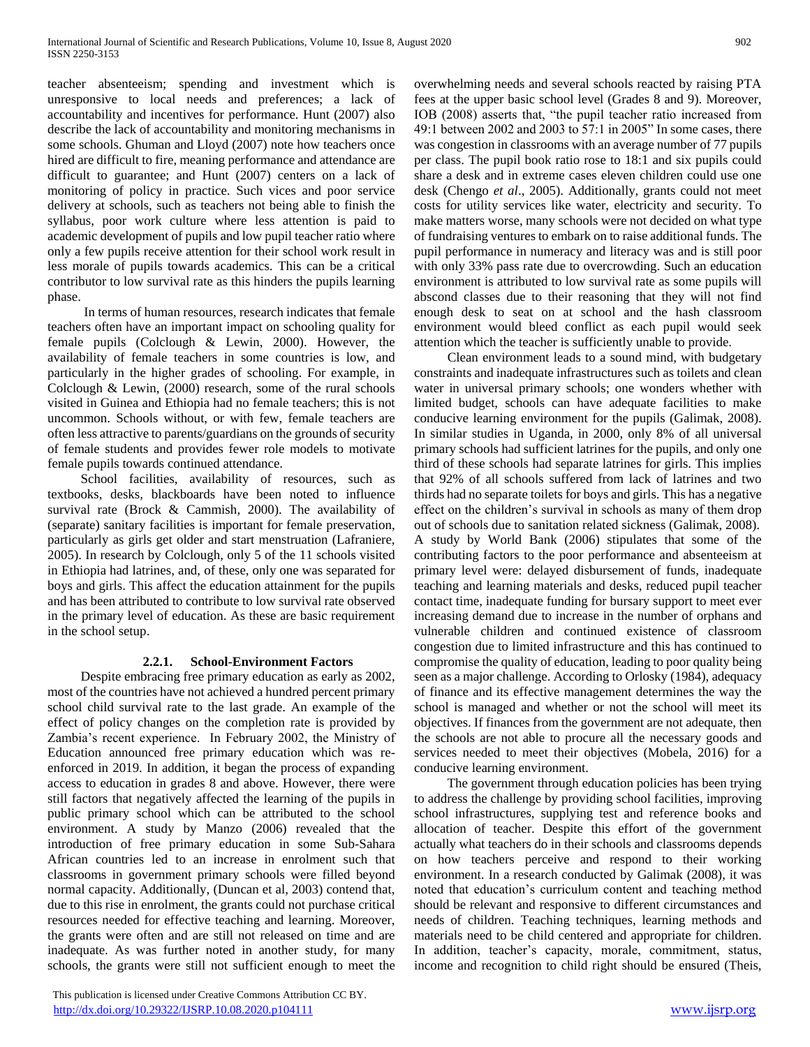teacher absenteeism; spending and investment which is unresponsive to local needs and preferences; a lack of accountability and incentives for performance. Hunt (2007) also describe the lack of accountability and monitoring mechanisms in some schools. Ghuman and Lloyd (2007) note how teachers once hired are difficult to fire, meaning performance and attendance are difficult to guarantee; and Hunt (2007) centers on a lack of monitoring of policy in practice. Such vices and poor service delivery at schools, such as teachers not being able to finish the syllabus, poor work culture where less attention is paid to academic development of pupils and low pupil teacher ratio where only a few pupils receive attention for their school work result in less morale of pupils towards academics. This can be a critical contributor to low survival rate as this hinders the pupils learning phase.

 In terms of human resources, research indicates that female teachers often have an important impact on schooling quality for female pupils (Colclough & Lewin, 2000). However, the availability of female teachers in some countries is low, and particularly in the higher grades of schooling. For example, in Colclough & Lewin, (2000) research, some of the rural schools visited in Guinea and Ethiopia had no female teachers; this is not uncommon. Schools without, or with few, female teachers are often less attractive to parents/guardians on the grounds of security of female students and provides fewer role models to motivate female pupils towards continued attendance.

School facilities, availability of resources, such as textbooks, desks, blackboards have been noted to influence survival rate (Brock & Cammish, 2000). The availability of (separate) sanitary facilities is important for female preservation, particularly as girls get older and start menstruation (Lafraniere, 2005). In research by Colclough, only 5 of the 11 schools visited in Ethiopia had latrines, and, of these, only one was separated for boys and girls. This affect the education attainment for the pupils and has been attributed to contribute to low survival rate observed in the primary level of education. As these are basic requirement in the school setup.

## **2.2.1. School-Environment Factors**

 Despite embracing free primary education as early as 2002, most of the countries have not achieved a hundred percent primary school child survival rate to the last grade. An example of the effect of policy changes on the completion rate is provided by Zambia's recent experience. In February 2002, the Ministry of Education announced free primary education which was reenforced in 2019. In addition, it began the process of expanding access to education in grades 8 and above. However, there were still factors that negatively affected the learning of the pupils in public primary school which can be attributed to the school environment. A study by Manzo (2006) revealed that the introduction of free primary education in some Sub-Sahara African countries led to an increase in enrolment such that classrooms in government primary schools were filled beyond normal capacity. Additionally, (Duncan et al, 2003) contend that, due to this rise in enrolment, the grants could not purchase critical resources needed for effective teaching and learning. Moreover, the grants were often and are still not released on time and are inadequate. As was further noted in another study, for many schools, the grants were still not sufficient enough to meet the

 This publication is licensed under Creative Commons Attribution CC BY. <http://dx.doi.org/10.29322/IJSRP.10.08.2020.p104111> [www.ijsrp.org](http://ijsrp.org/)

overwhelming needs and several schools reacted by raising PTA fees at the upper basic school level (Grades 8 and 9). Moreover, IOB (2008) asserts that, "the pupil teacher ratio increased from 49:1 between 2002 and 2003 to 57:1 in 2005" In some cases, there was congestion in classrooms with an average number of 77 pupils per class. The pupil book ratio rose to 18:1 and six pupils could share a desk and in extreme cases eleven children could use one desk (Chengo *et al*., 2005). Additionally, grants could not meet costs for utility services like water, electricity and security. To make matters worse, many schools were not decided on what type of fundraising ventures to embark on to raise additional funds. The pupil performance in numeracy and literacy was and is still poor with only 33% pass rate due to overcrowding. Such an education environment is attributed to low survival rate as some pupils will abscond classes due to their reasoning that they will not find enough desk to seat on at school and the hash classroom environment would bleed conflict as each pupil would seek attention which the teacher is sufficiently unable to provide.

 Clean environment leads to a sound mind, with budgetary constraints and inadequate infrastructures such as toilets and clean water in universal primary schools; one wonders whether with limited budget, schools can have adequate facilities to make conducive learning environment for the pupils (Galimak, 2008). In similar studies in Uganda, in 2000, only 8% of all universal primary schools had sufficient latrines for the pupils, and only one third of these schools had separate latrines for girls. This implies that 92% of all schools suffered from lack of latrines and two thirds had no separate toilets for boys and girls. This has a negative effect on the children's survival in schools as many of them drop out of schools due to sanitation related sickness (Galimak, 2008). A study by World Bank (2006) stipulates that some of the contributing factors to the poor performance and absenteeism at primary level were: delayed disbursement of funds, inadequate teaching and learning materials and desks, reduced pupil teacher contact time, inadequate funding for bursary support to meet ever increasing demand due to increase in the number of orphans and vulnerable children and continued existence of classroom congestion due to limited infrastructure and this has continued to compromise the quality of education, leading to poor quality being seen as a major challenge. According to Orlosky (1984), adequacy of finance and its effective management determines the way the school is managed and whether or not the school will meet its objectives. If finances from the government are not adequate, then the schools are not able to procure all the necessary goods and services needed to meet their objectives (Mobela, 2016) for a conducive learning environment.

 The government through education policies has been trying to address the challenge by providing school facilities, improving school infrastructures, supplying test and reference books and allocation of teacher. Despite this effort of the government actually what teachers do in their schools and classrooms depends on how teachers perceive and respond to their working environment. In a research conducted by Galimak (2008), it was noted that education's curriculum content and teaching method should be relevant and responsive to different circumstances and needs of children. Teaching techniques, learning methods and materials need to be child centered and appropriate for children. In addition, teacher's capacity, morale, commitment, status, income and recognition to child right should be ensured (Theis,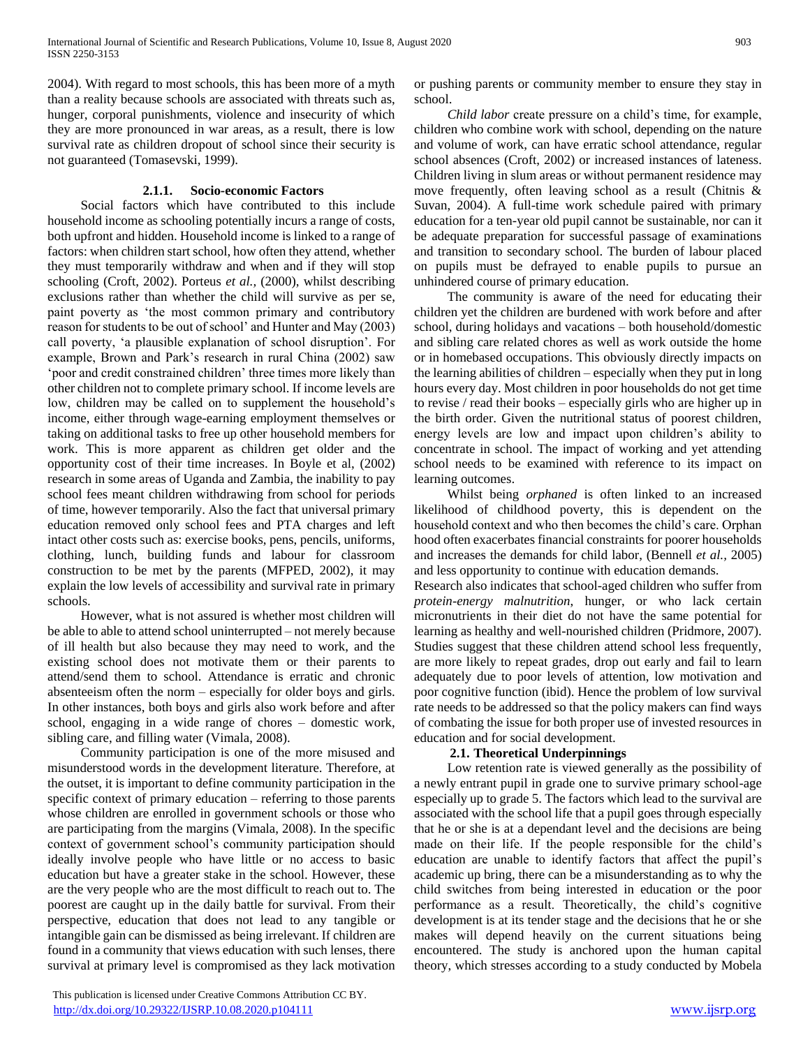2004). With regard to most schools, this has been more of a myth than a reality because schools are associated with threats such as, hunger, corporal punishments, violence and insecurity of which they are more pronounced in war areas, as a result, there is low survival rate as children dropout of school since their security is not guaranteed (Tomasevski, 1999).

#### **2.1.1. Socio-economic Factors**

 Social factors which have contributed to this include household income as schooling potentially incurs a range of costs, both upfront and hidden. Household income is linked to a range of factors: when children start school, how often they attend, whether they must temporarily withdraw and when and if they will stop schooling (Croft, 2002). Porteus *et al.,* (2000), whilst describing exclusions rather than whether the child will survive as per se, paint poverty as 'the most common primary and contributory reason for students to be out of school' and Hunter and May (2003) call poverty, 'a plausible explanation of school disruption'. For example, Brown and Park's research in rural China (2002) saw 'poor and credit constrained children' three times more likely than other children not to complete primary school. If income levels are low, children may be called on to supplement the household's income, either through wage-earning employment themselves or taking on additional tasks to free up other household members for work. This is more apparent as children get older and the opportunity cost of their time increases. In Boyle et al, (2002) research in some areas of Uganda and Zambia, the inability to pay school fees meant children withdrawing from school for periods of time, however temporarily. Also the fact that universal primary education removed only school fees and PTA charges and left intact other costs such as: exercise books, pens, pencils, uniforms, clothing, lunch, building funds and labour for classroom construction to be met by the parents (MFPED, 2002), it may explain the low levels of accessibility and survival rate in primary schools.

 However, what is not assured is whether most children will be able to able to attend school uninterrupted – not merely because of ill health but also because they may need to work, and the existing school does not motivate them or their parents to attend/send them to school. Attendance is erratic and chronic absenteeism often the norm – especially for older boys and girls. In other instances, both boys and girls also work before and after school, engaging in a wide range of chores – domestic work, sibling care, and filling water (Vimala, 2008).

 Community participation is one of the more misused and misunderstood words in the development literature. Therefore, at the outset, it is important to define community participation in the specific context of primary education – referring to those parents whose children are enrolled in government schools or those who are participating from the margins (Vimala, 2008). In the specific context of government school's community participation should ideally involve people who have little or no access to basic education but have a greater stake in the school. However, these are the very people who are the most difficult to reach out to. The poorest are caught up in the daily battle for survival. From their perspective, education that does not lead to any tangible or intangible gain can be dismissed as being irrelevant. If children are found in a community that views education with such lenses, there survival at primary level is compromised as they lack motivation

 This publication is licensed under Creative Commons Attribution CC BY. <http://dx.doi.org/10.29322/IJSRP.10.08.2020.p104111> [www.ijsrp.org](http://ijsrp.org/)

or pushing parents or community member to ensure they stay in school.

 *Child labor* create pressure on a child's time, for example, children who combine work with school, depending on the nature and volume of work, can have erratic school attendance, regular school absences (Croft, 2002) or increased instances of lateness. Children living in slum areas or without permanent residence may move frequently, often leaving school as a result (Chitnis & Suvan, 2004). A full-time work schedule paired with primary education for a ten-year old pupil cannot be sustainable, nor can it be adequate preparation for successful passage of examinations and transition to secondary school. The burden of labour placed on pupils must be defrayed to enable pupils to pursue an unhindered course of primary education.

 The community is aware of the need for educating their children yet the children are burdened with work before and after school, during holidays and vacations – both household/domestic and sibling care related chores as well as work outside the home or in homebased occupations. This obviously directly impacts on the learning abilities of children – especially when they put in long hours every day. Most children in poor households do not get time to revise / read their books – especially girls who are higher up in the birth order. Given the nutritional status of poorest children, energy levels are low and impact upon children's ability to concentrate in school. The impact of working and yet attending school needs to be examined with reference to its impact on learning outcomes.

 Whilst being *orphaned* is often linked to an increased likelihood of childhood poverty, this is dependent on the household context and who then becomes the child's care. Orphan hood often exacerbates financial constraints for poorer households and increases the demands for child labor, (Bennell *et al.,* 2005) and less opportunity to continue with education demands.

Research also indicates that school-aged children who suffer from *protein-energy malnutrition*, hunger, or who lack certain micronutrients in their diet do not have the same potential for learning as healthy and well-nourished children (Pridmore, 2007). Studies suggest that these children attend school less frequently, are more likely to repeat grades, drop out early and fail to learn adequately due to poor levels of attention, low motivation and poor cognitive function (ibid). Hence the problem of low survival rate needs to be addressed so that the policy makers can find ways of combating the issue for both proper use of invested resources in education and for social development.

## **2.1. Theoretical Underpinnings**

 Low retention rate is viewed generally as the possibility of a newly entrant pupil in grade one to survive primary school-age especially up to grade 5. The factors which lead to the survival are associated with the school life that a pupil goes through especially that he or she is at a dependant level and the decisions are being made on their life. If the people responsible for the child's education are unable to identify factors that affect the pupil's academic up bring, there can be a misunderstanding as to why the child switches from being interested in education or the poor performance as a result. Theoretically, the child's cognitive development is at its tender stage and the decisions that he or she makes will depend heavily on the current situations being encountered. The study is anchored upon the human capital theory, which stresses according to a study conducted by Mobela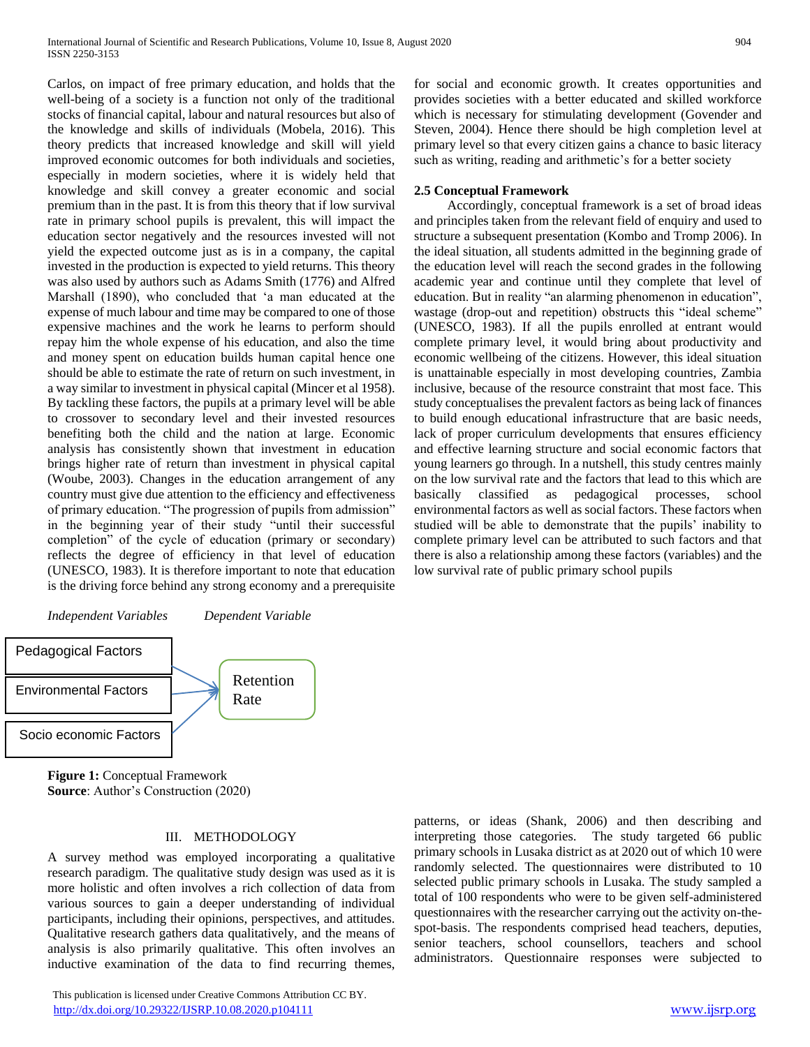Carlos, on impact of free primary education, and holds that the well-being of a society is a function not only of the traditional stocks of financial capital, labour and natural resources but also of the knowledge and skills of individuals (Mobela, 2016). This theory predicts that increased knowledge and skill will yield improved economic outcomes for both individuals and societies, especially in modern societies, where it is widely held that knowledge and skill convey a greater economic and social premium than in the past. It is from this theory that if low survival rate in primary school pupils is prevalent, this will impact the education sector negatively and the resources invested will not yield the expected outcome just as is in a company, the capital invested in the production is expected to yield returns. This theory was also used by authors such as Adams Smith (1776) and Alfred Marshall (1890), who concluded that 'a man educated at the expense of much labour and time may be compared to one of those expensive machines and the work he learns to perform should repay him the whole expense of his education, and also the time and money spent on education builds human capital hence one should be able to estimate the rate of return on such investment, in a way similar to investment in physical capital (Mincer et al 1958). By tackling these factors, the pupils at a primary level will be able to crossover to secondary level and their invested resources benefiting both the child and the nation at large. Economic analysis has consistently shown that investment in education brings higher rate of return than investment in physical capital (Woube, 2003). Changes in the education arrangement of any country must give due attention to the efficiency and effectiveness of primary education. "The progression of pupils from admission" in the beginning year of their study "until their successful completion" of the cycle of education (primary or secondary) reflects the degree of efficiency in that level of education (UNESCO, 1983). It is therefore important to note that education is the driving force behind any strong economy and a prerequisite





**Figure 1:** Conceptual Framework **Source**: Author's Construction (2020)

#### III. METHODOLOGY

A survey method was employed incorporating a qualitative research paradigm. The qualitative study design was used as it is more holistic and often involves a rich collection of data from various sources to gain a deeper understanding of individual participants, including their opinions, perspectives, and attitudes. Qualitative research gathers data qualitatively, and the means of analysis is also primarily qualitative. This often involves an inductive examination of the data to find recurring themes,

 This publication is licensed under Creative Commons Attribution CC BY. <http://dx.doi.org/10.29322/IJSRP.10.08.2020.p104111> [www.ijsrp.org](http://ijsrp.org/)

for social and economic growth. It creates opportunities and provides societies with a better educated and skilled workforce which is necessary for stimulating development (Govender and Steven, 2004). Hence there should be high completion level at primary level so that every citizen gains a chance to basic literacy such as writing, reading and arithmetic's for a better society

#### **2.5 Conceptual Framework**

 Accordingly, conceptual framework is a set of broad ideas and principles taken from the relevant field of enquiry and used to structure a subsequent presentation (Kombo and Tromp 2006). In the ideal situation, all students admitted in the beginning grade of the education level will reach the second grades in the following academic year and continue until they complete that level of education. But in reality "an alarming phenomenon in education", wastage (drop-out and repetition) obstructs this "ideal scheme" (UNESCO, 1983). If all the pupils enrolled at entrant would complete primary level, it would bring about productivity and economic wellbeing of the citizens. However, this ideal situation is unattainable especially in most developing countries, Zambia inclusive, because of the resource constraint that most face. This study conceptualises the prevalent factors as being lack of finances to build enough educational infrastructure that are basic needs, lack of proper curriculum developments that ensures efficiency and effective learning structure and social economic factors that young learners go through. In a nutshell, this study centres mainly on the low survival rate and the factors that lead to this which are basically classified as pedagogical processes, school environmental factors as well as social factors. These factors when studied will be able to demonstrate that the pupils' inability to complete primary level can be attributed to such factors and that there is also a relationship among these factors (variables) and the low survival rate of public primary school pupils

patterns, or ideas (Shank, 2006) and then describing and interpreting those categories. The study targeted 66 public primary schools in Lusaka district as at 2020 out of which 10 were randomly selected. The questionnaires were distributed to 10 selected public primary schools in Lusaka. The study sampled a total of 100 respondents who were to be given self-administered questionnaires with the researcher carrying out the activity on-thespot-basis. The respondents comprised head teachers, deputies, senior teachers, school counsellors, teachers and school administrators. Questionnaire responses were subjected to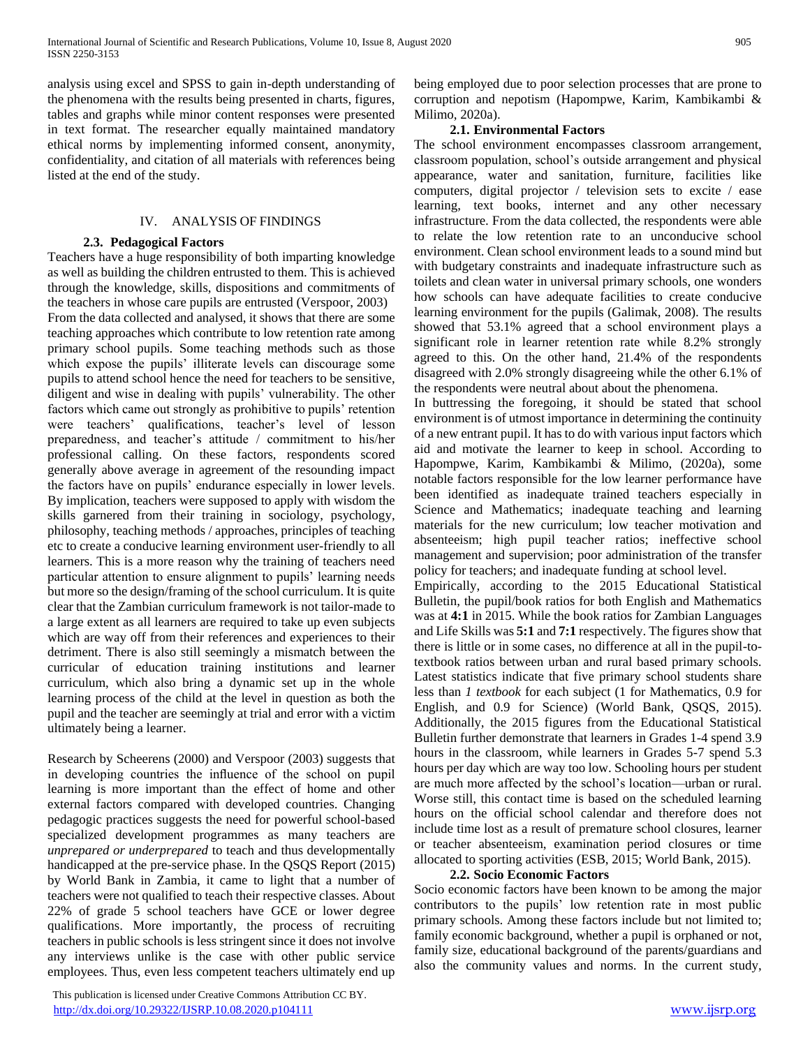analysis using excel and SPSS to gain in-depth understanding of the phenomena with the results being presented in charts, figures, tables and graphs while minor content responses were presented in text format. The researcher equally maintained mandatory ethical norms by implementing informed consent, anonymity, confidentiality, and citation of all materials with references being listed at the end of the study.

#### IV. ANALYSIS OF FINDINGS

#### **2.3. Pedagogical Factors**

Teachers have a huge responsibility of both imparting knowledge as well as building the children entrusted to them. This is achieved through the knowledge, skills, dispositions and commitments of the teachers in whose care pupils are entrusted (Verspoor, 2003)

From the data collected and analysed, it shows that there are some teaching approaches which contribute to low retention rate among primary school pupils. Some teaching methods such as those which expose the pupils' illiterate levels can discourage some pupils to attend school hence the need for teachers to be sensitive, diligent and wise in dealing with pupils' vulnerability. The other factors which came out strongly as prohibitive to pupils' retention were teachers' qualifications, teacher's level of lesson preparedness, and teacher's attitude / commitment to his/her professional calling. On these factors, respondents scored generally above average in agreement of the resounding impact the factors have on pupils' endurance especially in lower levels. By implication, teachers were supposed to apply with wisdom the skills garnered from their training in sociology, psychology, philosophy, teaching methods / approaches, principles of teaching etc to create a conducive learning environment user-friendly to all learners. This is a more reason why the training of teachers need particular attention to ensure alignment to pupils' learning needs but more so the design/framing of the school curriculum. It is quite clear that the Zambian curriculum framework is not tailor-made to a large extent as all learners are required to take up even subjects which are way off from their references and experiences to their detriment. There is also still seemingly a mismatch between the curricular of education training institutions and learner curriculum, which also bring a dynamic set up in the whole learning process of the child at the level in question as both the pupil and the teacher are seemingly at trial and error with a victim ultimately being a learner.

Research by Scheerens (2000) and Verspoor (2003) suggests that in developing countries the influence of the school on pupil learning is more important than the effect of home and other external factors compared with developed countries. Changing pedagogic practices suggests the need for powerful school-based specialized development programmes as many teachers are *unprepared or underprepared* to teach and thus developmentally handicapped at the pre-service phase. In the QSQS Report (2015) by World Bank in Zambia, it came to light that a number of teachers were not qualified to teach their respective classes. About 22% of grade 5 school teachers have GCE or lower degree qualifications. More importantly, the process of recruiting teachers in public schools is less stringent since it does not involve any interviews unlike is the case with other public service employees. Thus, even less competent teachers ultimately end up

 This publication is licensed under Creative Commons Attribution CC BY. <http://dx.doi.org/10.29322/IJSRP.10.08.2020.p104111> [www.ijsrp.org](http://ijsrp.org/)

being employed due to poor selection processes that are prone to corruption and nepotism (Hapompwe, Karim, Kambikambi & Milimo, 2020a).

### **2.1. Environmental Factors**

The school environment encompasses classroom arrangement, classroom population, school's outside arrangement and physical appearance, water and sanitation, furniture, facilities like computers, digital projector / television sets to excite / ease learning, text books, internet and any other necessary infrastructure. From the data collected, the respondents were able to relate the low retention rate to an unconducive school environment. Clean school environment leads to a sound mind but with budgetary constraints and inadequate infrastructure such as toilets and clean water in universal primary schools, one wonders how schools can have adequate facilities to create conducive learning environment for the pupils (Galimak, 2008). The results showed that 53.1% agreed that a school environment plays a significant role in learner retention rate while 8.2% strongly agreed to this. On the other hand, 21.4% of the respondents disagreed with 2.0% strongly disagreeing while the other 6.1% of the respondents were neutral about about the phenomena.

In buttressing the foregoing, it should be stated that school environment is of utmost importance in determining the continuity of a new entrant pupil. It has to do with various input factors which aid and motivate the learner to keep in school. According to Hapompwe, Karim, Kambikambi & Milimo, (2020a), some notable factors responsible for the low learner performance have been identified as inadequate trained teachers especially in Science and Mathematics; inadequate teaching and learning materials for the new curriculum; low teacher motivation and absenteeism; high pupil teacher ratios; ineffective school management and supervision; poor administration of the transfer policy for teachers; and inadequate funding at school level.

Empirically, according to the 2015 Educational Statistical Bulletin, the pupil/book ratios for both English and Mathematics was at **4:1** in 2015. While the book ratios for Zambian Languages and Life Skills was **5:1** and **7:1** respectively. The figures show that there is little or in some cases, no difference at all in the pupil-totextbook ratios between urban and rural based primary schools. Latest statistics indicate that five primary school students share less than *1 textbook* for each subject (1 for Mathematics, 0.9 for English, and 0.9 for Science) (World Bank, QSQS, 2015). Additionally, the 2015 figures from the Educational Statistical Bulletin further demonstrate that learners in Grades 1-4 spend 3.9 hours in the classroom, while learners in Grades 5-7 spend 5.3 hours per day which are way too low. Schooling hours per student are much more affected by the school's location—urban or rural. Worse still, this contact time is based on the scheduled learning hours on the official school calendar and therefore does not include time lost as a result of premature school closures, learner or teacher absenteeism, examination period closures or time allocated to sporting activities (ESB, 2015; World Bank, 2015).

## **2.2. Socio Economic Factors**

Socio economic factors have been known to be among the major contributors to the pupils' low retention rate in most public primary schools. Among these factors include but not limited to; family economic background, whether a pupil is orphaned or not, family size, educational background of the parents/guardians and also the community values and norms. In the current study,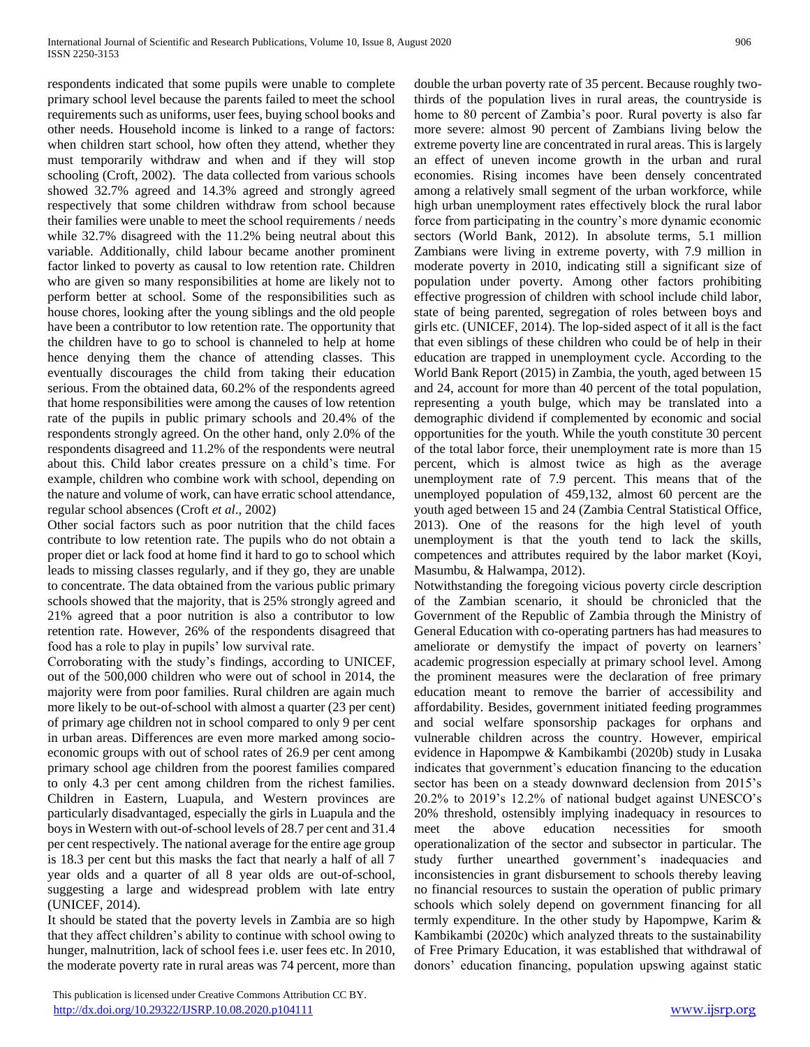respondents indicated that some pupils were unable to complete primary school level because the parents failed to meet the school requirements such as uniforms, user fees, buying school books and other needs. Household income is linked to a range of factors: when children start school, how often they attend, whether they must temporarily withdraw and when and if they will stop schooling (Croft, 2002). The data collected from various schools showed 32.7% agreed and 14.3% agreed and strongly agreed respectively that some children withdraw from school because their families were unable to meet the school requirements / needs while 32.7% disagreed with the 11.2% being neutral about this variable. Additionally, child labour became another prominent factor linked to poverty as causal to low retention rate. Children who are given so many responsibilities at home are likely not to perform better at school. Some of the responsibilities such as house chores, looking after the young siblings and the old people have been a contributor to low retention rate. The opportunity that the children have to go to school is channeled to help at home hence denying them the chance of attending classes. This eventually discourages the child from taking their education serious. From the obtained data, 60.2% of the respondents agreed that home responsibilities were among the causes of low retention rate of the pupils in public primary schools and 20.4% of the respondents strongly agreed. On the other hand, only 2.0% of the respondents disagreed and 11.2% of the respondents were neutral about this. Child labor creates pressure on a child's time. For example, children who combine work with school, depending on the nature and volume of work, can have erratic school attendance, regular school absences (Croft *et al*., 2002)

Other social factors such as poor nutrition that the child faces contribute to low retention rate. The pupils who do not obtain a proper diet or lack food at home find it hard to go to school which leads to missing classes regularly, and if they go, they are unable to concentrate. The data obtained from the various public primary schools showed that the majority, that is 25% strongly agreed and 21% agreed that a poor nutrition is also a contributor to low retention rate. However, 26% of the respondents disagreed that food has a role to play in pupils' low survival rate.

Corroborating with the study's findings, according to UNICEF, out of the 500,000 children who were out of school in 2014, the majority were from poor families. Rural children are again much more likely to be out-of-school with almost a quarter (23 per cent) of primary age children not in school compared to only 9 per cent in urban areas. Differences are even more marked among socioeconomic groups with out of school rates of 26.9 per cent among primary school age children from the poorest families compared to only 4.3 per cent among children from the richest families. Children in Eastern, Luapula, and Western provinces are particularly disadvantaged, especially the girls in Luapula and the boys in Western with out-of-school levels of 28.7 per cent and 31.4 per cent respectively. The national average for the entire age group is 18.3 per cent but this masks the fact that nearly a half of all 7 year olds and a quarter of all 8 year olds are out-of-school, suggesting a large and widespread problem with late entry (UNICEF, 2014).

It should be stated that the poverty levels in Zambia are so high that they affect children's ability to continue with school owing to hunger, malnutrition, lack of school fees i.e. user fees etc. In 2010, the moderate poverty rate in rural areas was 74 percent, more than

 This publication is licensed under Creative Commons Attribution CC BY. <http://dx.doi.org/10.29322/IJSRP.10.08.2020.p104111> [www.ijsrp.org](http://ijsrp.org/)

double the urban poverty rate of 35 percent. Because roughly twothirds of the population lives in rural areas, the countryside is home to 80 percent of Zambia's poor. Rural poverty is also far more severe: almost 90 percent of Zambians living below the extreme poverty line are concentrated in rural areas. This is largely an effect of uneven income growth in the urban and rural economies. Rising incomes have been densely concentrated among a relatively small segment of the urban workforce, while high urban unemployment rates effectively block the rural labor force from participating in the country's more dynamic economic sectors (World Bank, 2012). In absolute terms, 5.1 million Zambians were living in extreme poverty, with 7.9 million in moderate poverty in 2010, indicating still a significant size of population under poverty. Among other factors prohibiting effective progression of children with school include child labor, state of being parented, segregation of roles between boys and girls etc. (UNICEF, 2014). The lop-sided aspect of it all is the fact that even siblings of these children who could be of help in their education are trapped in unemployment cycle. According to the World Bank Report (2015) in Zambia, the youth, aged between 15 and 24, account for more than 40 percent of the total population, representing a youth bulge, which may be translated into a demographic dividend if complemented by economic and social opportunities for the youth. While the youth constitute 30 percent of the total labor force, their unemployment rate is more than 15 percent, which is almost twice as high as the average unemployment rate of 7.9 percent. This means that of the unemployed population of 459,132, almost 60 percent are the youth aged between 15 and 24 (Zambia Central Statistical Office, 2013). One of the reasons for the high level of youth unemployment is that the youth tend to lack the skills, competences and attributes required by the labor market (Koyi, Masumbu, & Halwampa, 2012).

Notwithstanding the foregoing vicious poverty circle description of the Zambian scenario, it should be chronicled that the Government of the Republic of Zambia through the Ministry of General Education with co-operating partners has had measures to ameliorate or demystify the impact of poverty on learners' academic progression especially at primary school level. Among the prominent measures were the declaration of free primary education meant to remove the barrier of accessibility and affordability. Besides, government initiated feeding programmes and social welfare sponsorship packages for orphans and vulnerable children across the country. However, empirical evidence in Hapompwe *&* Kambikambi (2020b) study in Lusaka indicates that government's education financing to the education sector has been on a steady downward declension from 2015's 20.2% to 2019's 12.2% of national budget against UNESCO's 20% threshold, ostensibly implying inadequacy in resources to meet the above education necessities for smooth operationalization of the sector and subsector in particular. The study further unearthed government's inadequacies and inconsistencies in grant disbursement to schools thereby leaving no financial resources to sustain the operation of public primary schools which solely depend on government financing for all termly expenditure. In the other study by Hapompwe*,* Karim & Kambikambi (2020c) which analyzed threats to the sustainability of Free Primary Education, it was established that withdrawal of donors' education financing, population upswing against static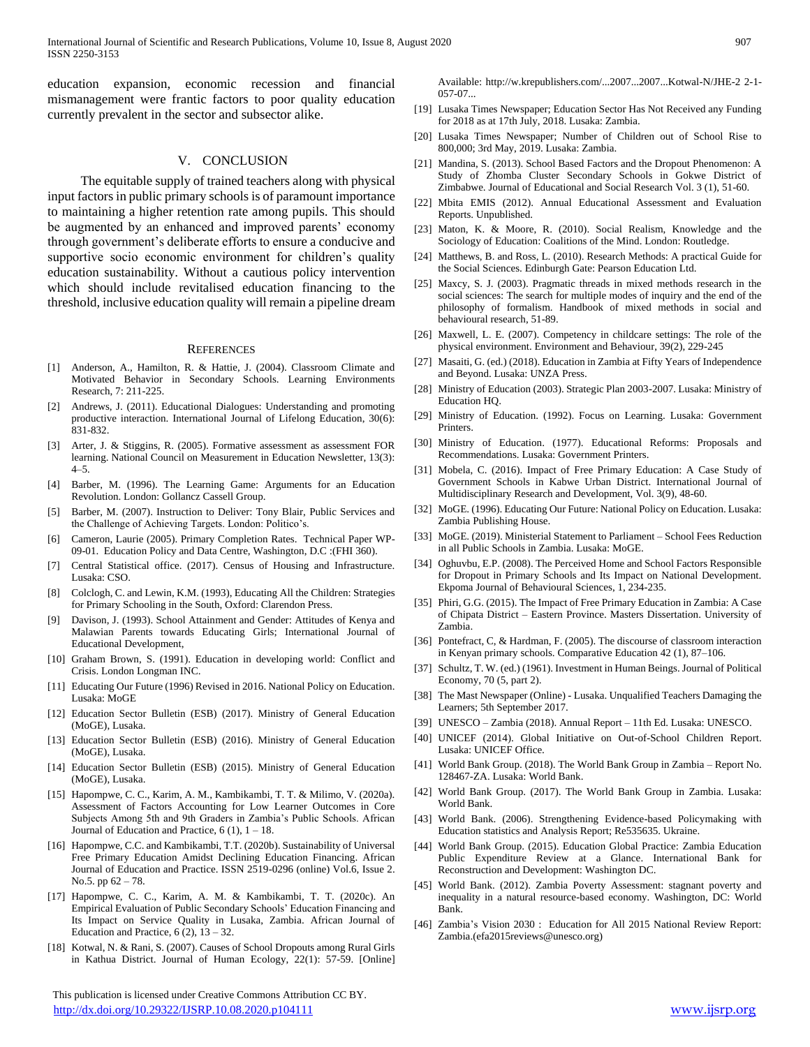education expansion, economic recession and financial mismanagement were frantic factors to poor quality education currently prevalent in the sector and subsector alike.

#### V. CONCLUSION

 The equitable supply of trained teachers along with physical input factors in public primary schools is of paramount importance to maintaining a higher retention rate among pupils. This should be augmented by an enhanced and improved parents' economy through government's deliberate efforts to ensure a conducive and supportive socio economic environment for children's quality education sustainability. Without a cautious policy intervention which should include revitalised education financing to the threshold, inclusive education quality will remain a pipeline dream

#### **REFERENCES**

- [1] Anderson, A., Hamilton, R. & Hattie, J. (2004). Classroom Climate and Motivated Behavior in Secondary Schools. Learning Environments Research, 7: 211-225.
- [2] Andrews, J. (2011). Educational Dialogues: Understanding and promoting productive interaction. International Journal of Lifelong Education, 30(6): 831-832.
- [3] Arter, J. & Stiggins, R. (2005). Formative assessment as assessment FOR learning. National Council on Measurement in Education Newsletter, 13(3): 4–5.
- Barber, M. (1996). The Learning Game: Arguments for an Education Revolution. London: Gollancz Cassell Group.
- Barber, M. (2007). Instruction to Deliver: Tony Blair, Public Services and the Challenge of Achieving Targets. London: Politico's.
- [6] Cameron, Laurie (2005). Primary Completion Rates. Technical Paper WP-09-01. Education Policy and Data Centre, Washington, D.C :(FHI 360).
- [7] Central Statistical office. (2017). Census of Housing and Infrastructure. Lusaka: CSO.
- [8] Colclogh, C. and Lewin, K.M. (1993), Educating All the Children: Strategies for Primary Schooling in the South, Oxford: Clarendon Press.
- [9] Davison, J. (1993). School Attainment and Gender: Attitudes of Kenya and Malawian Parents towards Educating Girls; International Journal of Educational Development,
- [10] Graham Brown, S. (1991). Education in developing world: Conflict and Crisis. London Longman INC.
- [11] Educating Our Future (1996) Revised in 2016. National Policy on Education. Lusaka: MoGE
- [12] Education Sector Bulletin (ESB) (2017). Ministry of General Education (MoGE), Lusaka.
- [13] Education Sector Bulletin (ESB) (2016). Ministry of General Education (MoGE), Lusaka.
- [14] Education Sector Bulletin (ESB) (2015). Ministry of General Education (MoGE), Lusaka.
- [15] Hapompwe, C. C., Karim, A. M., Kambikambi, T. T. & Milimo, V. (2020a). Assessment of Factors Accounting for Low Learner Outcomes in Core Subjects Among 5th and 9th Graders in Zambia's Public Schools. African Journal of Education and Practice,  $6(1)$ ,  $1 - 18$ .
- [16] Hapompwe, C.C. and Kambikambi, T.T. (2020b). Sustainability of Universal Free Primary Education Amidst Declining Education Financing. African Journal of Education and Practice. ISSN 2519-0296 (online) Vol.6, Issue 2. No.5. pp 62 – 78.
- [17] Hapompwe, C. C., Karim, A. M. & Kambikambi, T. T. (2020c). An Empirical Evaluation of Public Secondary Schools' Education Financing and Its Impact on Service Quality in Lusaka, Zambia. African Journal of Education and Practice,  $6(2)$ ,  $13-32$ .
- [18] Kotwal, N. & Rani, S. (2007). Causes of School Dropouts among Rural Girls in Kathua District. Journal of Human Ecology, 22(1): 57-59. [Online]

 This publication is licensed under Creative Commons Attribution CC BY. <http://dx.doi.org/10.29322/IJSRP.10.08.2020.p104111> [www.ijsrp.org](http://ijsrp.org/)

Available: http://w.krepublishers.com/...2007...2007...Kotwal-N/JHE-2 2-1-  $057 - 07...$ 

- [19] Lusaka Times Newspaper; Education Sector Has Not Received any Funding for 2018 as at 17th July, 2018. Lusaka: Zambia.
- [20] Lusaka Times Newspaper; Number of Children out of School Rise to 800,000; 3rd May, 2019. Lusaka: Zambia.
- [21] Mandina, S. (2013). School Based Factors and the Dropout Phenomenon: A Study of Zhomba Cluster Secondary Schools in Gokwe District of Zimbabwe. Journal of Educational and Social Research Vol. 3 (1), 51-60.
- [22] Mbita EMIS (2012). Annual Educational Assessment and Evaluation Reports. Unpublished.
- [23] Maton, K. & Moore, R. (2010). Social Realism, Knowledge and the Sociology of Education: Coalitions of the Mind. London: Routledge.
- [24] Matthews, B. and Ross, L. (2010). Research Methods: A practical Guide for the Social Sciences. Edinburgh Gate: Pearson Education Ltd.
- [25] Maxcy, S. J. (2003). Pragmatic threads in mixed methods research in the social sciences: The search for multiple modes of inquiry and the end of the philosophy of formalism. Handbook of mixed methods in social and behavioural research, 51-89.
- [26] Maxwell, L. E. (2007). Competency in childcare settings: The role of the physical environment. Environment and Behaviour, 39(2), 229-245
- [27] Masaiti, G. (ed.) (2018). Education in Zambia at Fifty Years of Independence and Beyond. Lusaka: UNZA Press.
- [28] Ministry of Education (2003). Strategic Plan 2003-2007. Lusaka: Ministry of Education HQ.
- [29] Ministry of Education. (1992). Focus on Learning. Lusaka: Government Printers.
- [30] Ministry of Education. (1977). Educational Reforms: Proposals and Recommendations. Lusaka: Government Printers.
- [31] Mobela, C. (2016). Impact of Free Primary Education: A Case Study of Government Schools in Kabwe Urban District. International Journal of Multidisciplinary Research and Development, Vol. 3(9), 48-60.
- [32] MoGE. (1996). Educating Our Future: National Policy on Education. Lusaka: Zambia Publishing House.
- [33] MoGE. (2019). Ministerial Statement to Parliament School Fees Reduction in all Public Schools in Zambia. Lusaka: MoGE.
- [34] Oghuvbu, E.P. (2008). The Perceived Home and School Factors Responsible for Dropout in Primary Schools and Its Impact on National Development. Ekpoma Journal of Behavioural Sciences, 1, 234-235.
- [35] Phiri, G.G. (2015). The Impact of Free Primary Education in Zambia: A Case of Chipata District – Eastern Province. Masters Dissertation. University of Zambia.
- [36] Pontefract, C, & Hardman, F. (2005). The discourse of classroom interaction in Kenyan primary schools. Comparative Education 42 (1), 87–106.
- [37] Schultz, T. W. (ed.) (1961). Investment in Human Beings. Journal of Political Economy, 70 (5, part 2).
- [38] The Mast Newspaper (Online) Lusaka. Unqualified Teachers Damaging the Learners; 5th September 2017.
- [39] UNESCO Zambia (2018). Annual Report 11th Ed. Lusaka: UNESCO.
- [40] UNICEF (2014). Global Initiative on Out-of-School Children Report. Lusaka: UNICEF Office.
- [41] World Bank Group. (2018). The World Bank Group in Zambia Report No. 128467-ZA. Lusaka: World Bank.
- [42] World Bank Group. (2017). The World Bank Group in Zambia. Lusaka: World Bank.
- [43] World Bank. (2006). Strengthening Evidence-based Policymaking with Education statistics and Analysis Report; Re535635. Ukraine.
- [44] World Bank Group. (2015). Education Global Practice: Zambia Education Public Expenditure Review at a Glance. International Bank for Reconstruction and Development: Washington DC.
- [45] World Bank. (2012). Zambia Poverty Assessment: stagnant poverty and inequality in a natural resource-based economy. Washington, DC: World Bank.
- [46] Zambia's Vision 2030 : Education for All 2015 National Review Report: Zambia.(efa2015reviews@unesco.org)